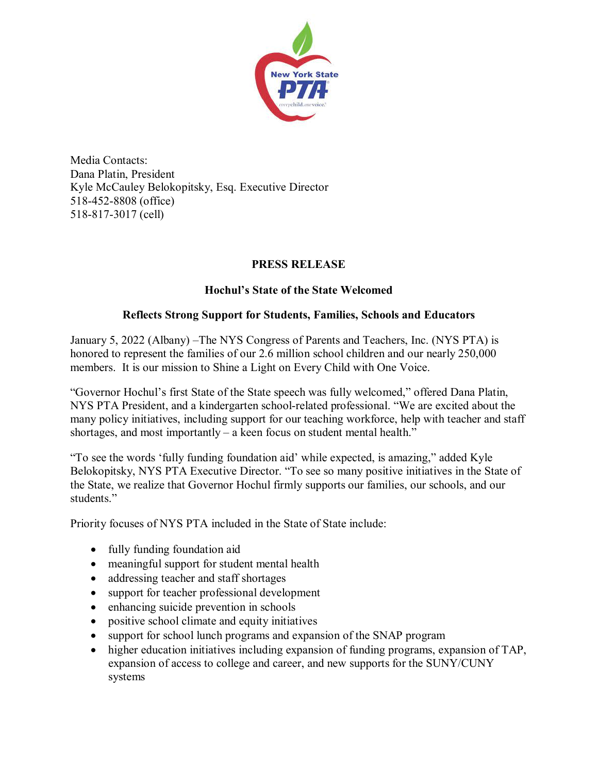

Media Contacts: Dana Platin, President Kyle McCauley Belokopitsky, Esq. Executive Director 518-452-8808 (office) 518-817-3017 (cell)

## **PRESS RELEASE**

## **Hochul's State of the State Welcomed**

## **Reflects Strong Support for Students, Families, Schools and Educators**

January 5, 2022 (Albany) –The NYS Congress of Parents and Teachers, Inc. (NYS PTA) is honored to represent the families of our 2.6 million school children and our nearly 250,000 members. It is our mission to Shine a Light on Every Child with One Voice.

"Governor Hochul's first State of the State speech was fully welcomed," offered Dana Platin, NYS PTA President, and a kindergarten school-related professional. "We are excited about the many policy initiatives, including support for our teaching workforce, help with teacher and staff shortages, and most importantly – a keen focus on student mental health."

"To see the words 'fully funding foundation aid' while expected, is amazing," added Kyle Belokopitsky, NYS PTA Executive Director. "To see so many positive initiatives in the State of the State, we realize that Governor Hochul firmly supports our families, our schools, and our students."

Priority focuses of NYS PTA included in the State of State include:

- fully funding foundation aid
- meaningful support for student mental health
- addressing teacher and staff shortages
- support for teacher professional development
- enhancing suicide prevention in schools
- positive school climate and equity initiatives
- support for school lunch programs and expansion of the SNAP program
- higher education initiatives including expansion of funding programs, expansion of TAP, expansion of access to college and career, and new supports for the SUNY/CUNY systems